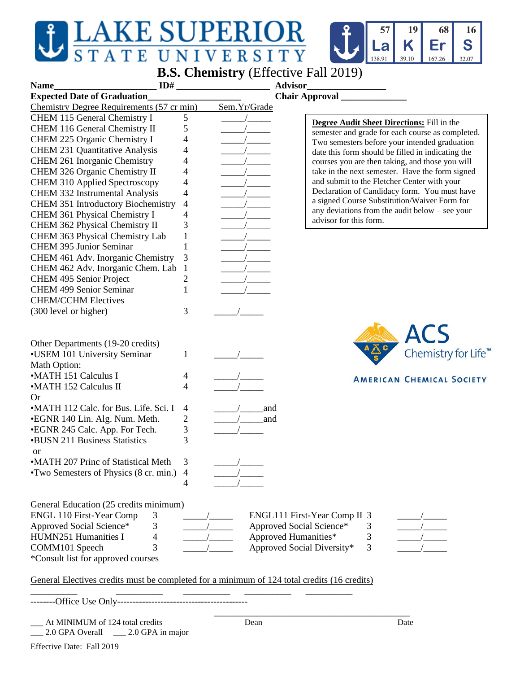## $\mathbf{J}$



**B.S. Chemistry** (Effective Fall 2019)

| ID#<br>Name                                                                                 |                | <b>Advisor</b>                                                                                        |  |
|---------------------------------------------------------------------------------------------|----------------|-------------------------------------------------------------------------------------------------------|--|
| <b>Expected Date of Graduation</b>                                                          |                | <b>Chair Approval</b>                                                                                 |  |
| Chemistry Degree Requirements (57 cr min)                                                   | Sem.Yr/Grade   |                                                                                                       |  |
| CHEM 115 General Chemistry I                                                                | 5              |                                                                                                       |  |
| CHEM 116 General Chemistry II                                                               | 5              | <b>Degree Audit Sheet Directions:</b> Fill in the<br>semester and grade for each course as completed. |  |
| CHEM 225 Organic Chemistry I                                                                | 4              | Two semesters before your intended graduation                                                         |  |
| <b>CHEM 231 Quantitative Analysis</b>                                                       | 4              | date this form should be filled in indicating the                                                     |  |
| CHEM 261 Inorganic Chemistry                                                                | 4              | courses you are then taking, and those you will                                                       |  |
| CHEM 326 Organic Chemistry II                                                               | 4              | take in the next semester. Have the form signed                                                       |  |
| CHEM 310 Applied Spectroscopy                                                               | 4              | and submit to the Fletcher Center with your                                                           |  |
| CHEM 332 Instrumental Analysis                                                              | 4              | Declaration of Candidacy form. You must have                                                          |  |
| CHEM 351 Introductory Biochemistry                                                          | 4              | a signed Course Substitution/Waiver Form for                                                          |  |
| CHEM 361 Physical Chemistry I                                                               | 4              | any deviations from the audit below $-$ see your                                                      |  |
| CHEM 362 Physical Chemistry II                                                              | 3              | advisor for this form.                                                                                |  |
| CHEM 363 Physical Chemistry Lab                                                             | 1              |                                                                                                       |  |
| <b>CHEM 395 Junior Seminar</b>                                                              |                |                                                                                                       |  |
| CHEM 461 Adv. Inorganic Chemistry                                                           | 3              |                                                                                                       |  |
| CHEM 462 Adv. Inorganic Chem. Lab                                                           | $\mathbf{1}$   |                                                                                                       |  |
| CHEM 495 Senior Project                                                                     | $\overline{c}$ |                                                                                                       |  |
| <b>CHEM 499 Senior Seminar</b>                                                              | 1              |                                                                                                       |  |
| <b>CHEM/CCHM Electives</b>                                                                  |                |                                                                                                       |  |
| (300 level or higher)                                                                       | 3              |                                                                                                       |  |
|                                                                                             |                |                                                                                                       |  |
|                                                                                             |                |                                                                                                       |  |
|                                                                                             |                | <b>ACS</b>                                                                                            |  |
| Other Departments (19-20 credits)<br>•USEM 101 University Seminar                           |                | Chemistry for Life <sup>™</sup>                                                                       |  |
|                                                                                             | 1              |                                                                                                       |  |
| Math Option:                                                                                |                |                                                                                                       |  |
| •MATH 151 Calculus I                                                                        | 4              | <b>AMERICAN CHEMICAL SOCIETY</b>                                                                      |  |
| •MATH 152 Calculus II                                                                       | 4              |                                                                                                       |  |
| <b>Or</b>                                                                                   |                |                                                                                                       |  |
| •MATH 112 Calc. for Bus. Life. Sci. I                                                       | 4<br>and       |                                                                                                       |  |
| •EGNR 140 Lin. Alg. Num. Meth.                                                              | 2<br>and       |                                                                                                       |  |
| •EGNR 245 Calc. App. For Tech.                                                              | 3              |                                                                                                       |  |
| <b>•BUSN 211 Business Statistics</b>                                                        | 3              |                                                                                                       |  |
| <sub>or</sub>                                                                               |                |                                                                                                       |  |
| •MATH 207 Princ of Statistical Meth                                                         | 3              |                                                                                                       |  |
| •Two Semesters of Physics (8 cr. min.) 4                                                    |                |                                                                                                       |  |
|                                                                                             | 4              |                                                                                                       |  |
|                                                                                             |                |                                                                                                       |  |
| General Education (25 credits minimum)                                                      |                |                                                                                                       |  |
| <b>ENGL 110 First-Year Comp</b><br>3                                                        |                | ENGL111 First-Year Comp II 3                                                                          |  |
| 3<br>Approved Social Science*                                                               |                | Approved Social Science*<br>3                                                                         |  |
| HUMN251 Humanities I<br>4                                                                   |                | Approved Humanities*<br>3                                                                             |  |
| COMM101 Speech<br>3                                                                         |                | Approved Social Diversity*<br>3                                                                       |  |
| *Consult list for approved courses                                                          |                |                                                                                                       |  |
| General Electives credits must be completed for a minimum of 124 total credits (16 credits) |                |                                                                                                       |  |
|                                                                                             |                |                                                                                                       |  |
|                                                                                             |                |                                                                                                       |  |
| At MINIMUM of 124 total credits                                                             | Dean           | Date                                                                                                  |  |
| 2.0 GPA Overall ______ 2.0 GPA in major                                                     |                |                                                                                                       |  |